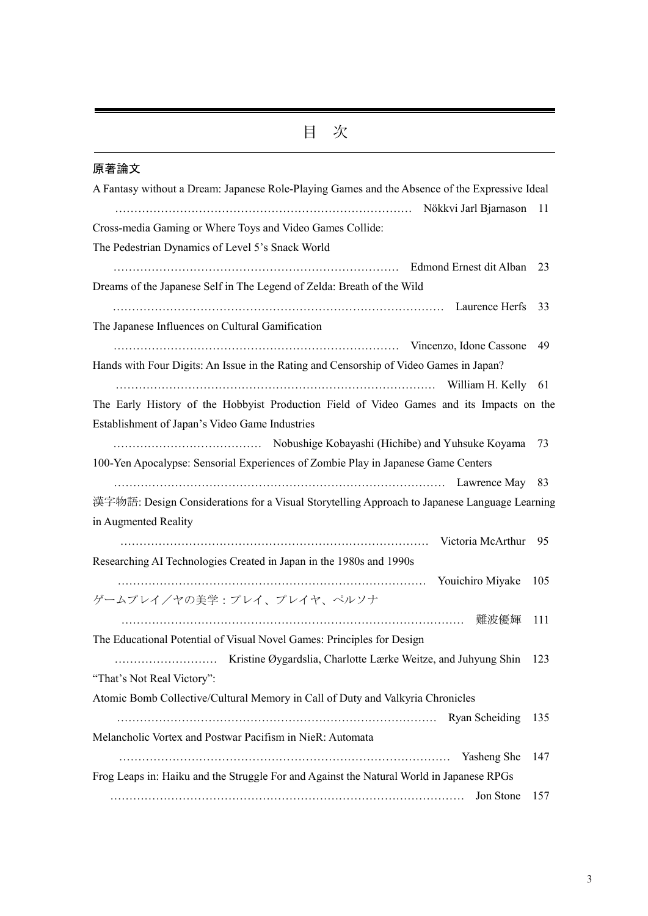## 原著論文

| A Fantasy without a Dream: Japanese Role-Playing Games and the Absence of the Expressive Ideal |       |
|------------------------------------------------------------------------------------------------|-------|
|                                                                                                | 11    |
| Cross-media Gaming or Where Toys and Video Games Collide:                                      |       |
| The Pedestrian Dynamics of Level 5's Snack World                                               |       |
|                                                                                                |       |
| Dreams of the Japanese Self in The Legend of Zelda: Breath of the Wild                         |       |
|                                                                                                |       |
| The Japanese Influences on Cultural Gamification                                               |       |
|                                                                                                | 49    |
| Hands with Four Digits: An Issue in the Rating and Censorship of Video Games in Japan?         |       |
|                                                                                                |       |
| The Early History of the Hobbyist Production Field of Video Games and its Impacts on the       |       |
| Establishment of Japan's Video Game Industries                                                 |       |
|                                                                                                | 73    |
| 100-Yen Apocalypse: Sensorial Experiences of Zombie Play in Japanese Game Centers              |       |
|                                                                                                |       |
| 漢字物語: Design Considerations for a Visual Storytelling Approach to Japanese Language Learning   |       |
| in Augmented Reality                                                                           |       |
|                                                                                                |       |
| Researching AI Technologies Created in Japan in the 1980s and 1990s                            |       |
|                                                                                                | - 105 |
| ゲームプレイ/ヤの美学:プレイ、プレイヤ、ペルソナ                                                                      |       |
| ……………………………………………………………………………… 難波優輝                                                            | 111   |
| The Educational Potential of Visual Novel Games: Principles for Design                         |       |
|                                                                                                | 123   |
| "That's Not Real Victory":                                                                     |       |
| Atomic Bomb Collective/Cultural Memory in Call of Duty and Valkyria Chronicles                 |       |
|                                                                                                | 135   |
| Melancholic Vortex and Postwar Pacifism in NieR: Automata                                      |       |
| Tasheng She                                                                                    | 147   |
| Frog Leaps in: Haiku and the Struggle For and Against the Natural World in Japanese RPGs       |       |
| Jon Stone                                                                                      | 157   |